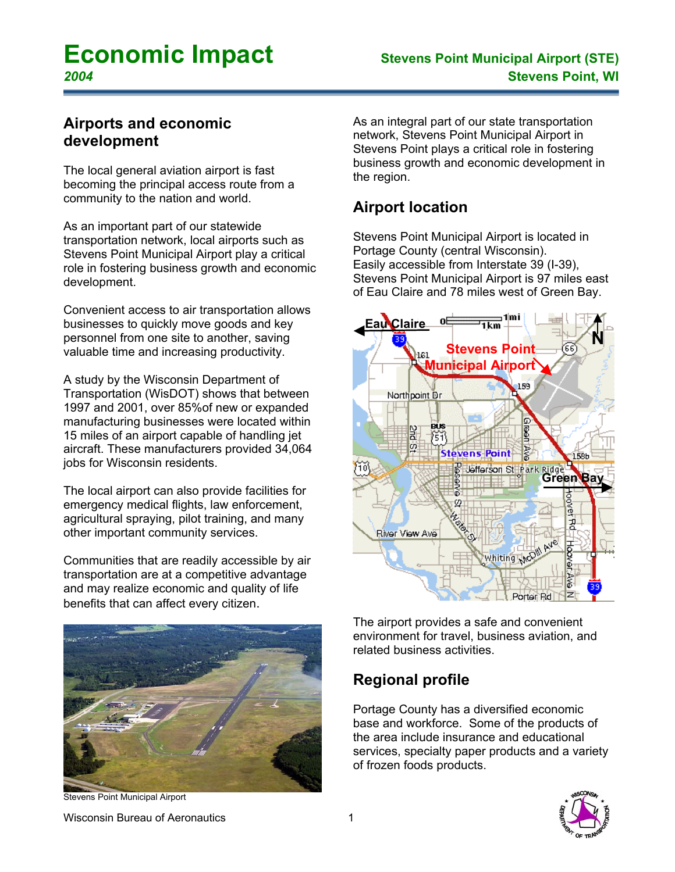# **Economic Impact Stevens Point Municipal Airport (STE)**

#### **Airports and economic development**

The local general aviation airport is fast becoming the principal access route from a community to the nation and world.

As an important part of our statewide transportation network, local airports such as Stevens Point Municipal Airport play a critical role in fostering business growth and economic development.

Convenient access to air transportation allows businesses to quickly move goods and key personnel from one site to another, saving valuable time and increasing productivity.

A study by the Wisconsin Department of Transportation (WisDOT) shows that between 1997 and 2001, over 85%of new or expanded manufacturing businesses were located within 15 miles of an airport capable of handling jet aircraft. These manufacturers provided 34,064 jobs for Wisconsin residents.

The local airport can also provide facilities for emergency medical flights, law enforcement, agricultural spraying, pilot training, and many other important community services.

Communities that are readily accessible by air transportation are at a competitive advantage and may realize economic and quality of life benefits that can affect every citizen.



Stevens Point Municipal Airport

As an integral part of our state transportation network, Stevens Point Municipal Airport in Stevens Point plays a critical role in fostering business growth and economic development in the region.

# **Airport location**

Stevens Point Municipal Airport is located in Portage County (central Wisconsin). Easily accessible from Interstate 39 (I-39), Stevens Point Municipal Airport is 97 miles east of Eau Claire and 78 miles west of Green Bay.



The airport provides a safe and convenient environment for travel, business aviation, and related business activities.

# **Regional profile**

Portage County has a diversified economic base and workforce. Some of the products of the area include insurance and educational services, specialty paper products and a variety of frozen foods products.

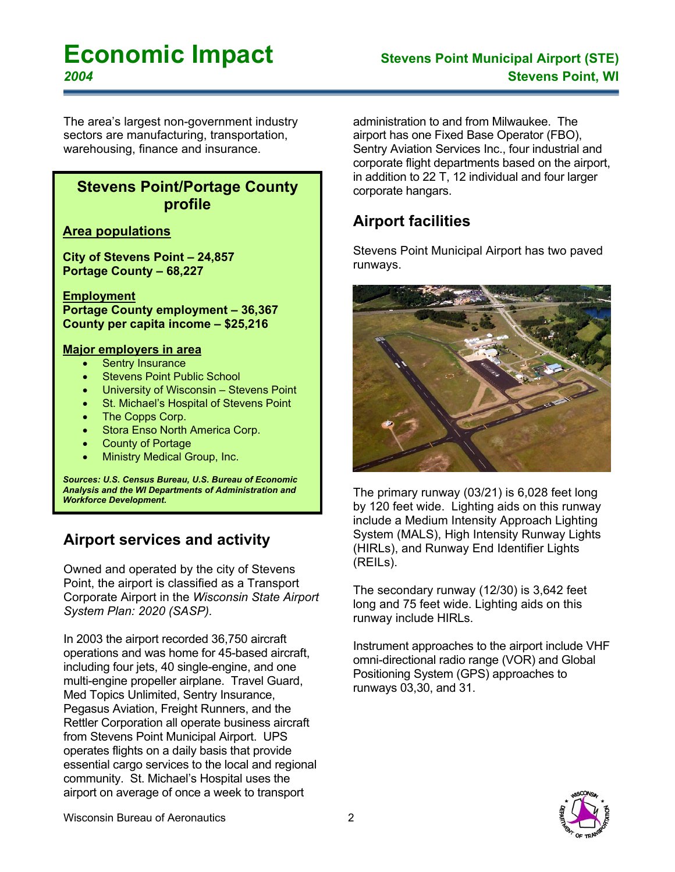# **Economic Impact Stevens Point Municipal Airport (STE)**

The area's largest non-government industry sectors are manufacturing, transportation, warehousing, finance and insurance.

#### **Stevens Point/Portage County profile**

#### **Area populations**

**City of Stevens Point – 24,857 Portage County – 68,227** 

**Employment Portage County employment – 36,367 County per capita income – \$25,216** 

#### **Major employers in area**

- **Sentry Insurance**
- **Stevens Point Public School**
- University of Wisconsin Stevens Point
- St. Michael's Hospital of Stevens Point
- The Copps Corp.
- Stora Enso North America Corp.
- County of Portage
- Ministry Medical Group, Inc.

*Sources: U.S. Census Bureau, U.S. Bureau of Economic Analysis and the WI Departments of Administration and Workforce Development.* 

# **Airport services and activity**

Owned and operated by the city of Stevens Point, the airport is classified as a Transport Corporate Airport in the *Wisconsin State Airport System Plan: 2020 (SASP).* 

In 2003 the airport recorded 36,750 aircraft operations and was home for 45-based aircraft, including four jets, 40 single-engine, and one multi-engine propeller airplane. Travel Guard, Med Topics Unlimited, Sentry Insurance, Pegasus Aviation, Freight Runners, and the Rettler Corporation all operate business aircraft from Stevens Point Municipal Airport. UPS operates flights on a daily basis that provide essential cargo services to the local and regional community. St. Michael's Hospital uses the airport on average of once a week to transport

administration to and from Milwaukee. The airport has one Fixed Base Operator (FBO), Sentry Aviation Services Inc., four industrial and corporate flight departments based on the airport, in addition to 22 T, 12 individual and four larger corporate hangars.

## **Airport facilities**

Stevens Point Municipal Airport has two paved runways.



The primary runway (03/21) is 6,028 feet long by 120 feet wide. Lighting aids on this runway include a Medium Intensity Approach Lighting System (MALS), High Intensity Runway Lights (HIRLs), and Runway End Identifier Lights (REILs).

The secondary runway (12/30) is 3,642 feet long and 75 feet wide. Lighting aids on this runway include HIRLs.

Instrument approaches to the airport include VHF omni-directional radio range (VOR) and Global Positioning System (GPS) approaches to runways 03,30, and 31.

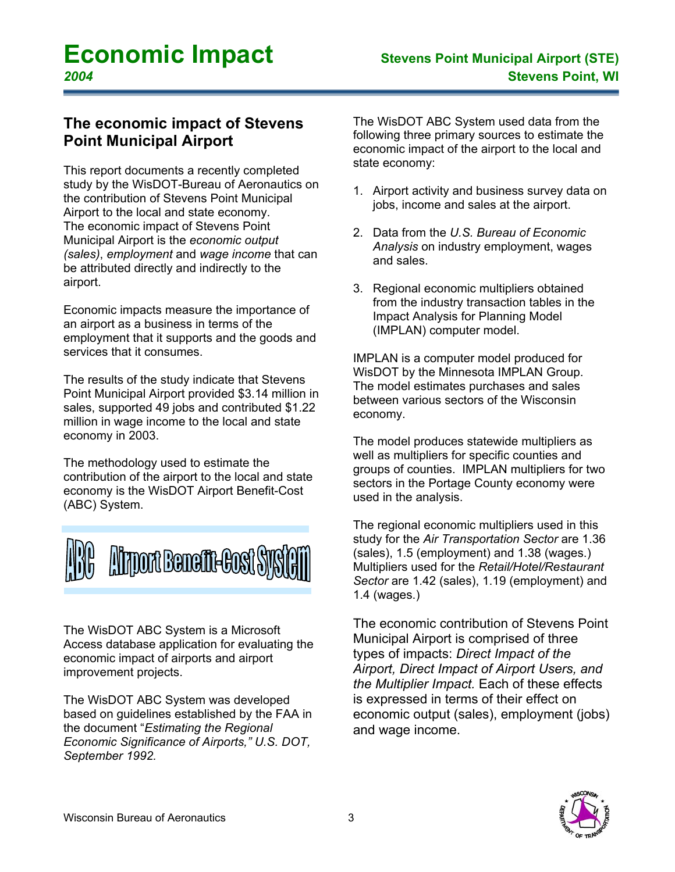#### **The economic impact of Stevens Point Municipal Airport**

This report documents a recently completed study by the WisDOT-Bureau of Aeronautics on the contribution of Stevens Point Municipal Airport to the local and state economy. The economic impact of Stevens Point Municipal Airport is the *economic output (sales)*, *employment* and *wage income* that can be attributed directly and indirectly to the airport.

Economic impacts measure the importance of an airport as a business in terms of the employment that it supports and the goods and services that it consumes.

The results of the study indicate that Stevens Point Municipal Airport provided \$3.14 million in sales, supported 49 jobs and contributed \$1.22 million in wage income to the local and state economy in 2003.

The methodology used to estimate the contribution of the airport to the local and state economy is the WisDOT Airport Benefit-Cost (ABC) System.



The WisDOT ABC System is a Microsoft Access database application for evaluating the economic impact of airports and airport improvement projects.

The WisDOT ABC System was developed based on guidelines established by the FAA in the document "*Estimating the Regional Economic Significance of Airports," U.S. DOT, September 1992.* 

The WisDOT ABC System used data from the following three primary sources to estimate the economic impact of the airport to the local and state economy:

- 1. Airport activity and business survey data on jobs, income and sales at the airport.
- 2. Data from the *U.S. Bureau of Economic Analysis* on industry employment, wages and sales.
- 3. Regional economic multipliers obtained from the industry transaction tables in the Impact Analysis for Planning Model (IMPLAN) computer model.

IMPLAN is a computer model produced for WisDOT by the Minnesota IMPLAN Group. The model estimates purchases and sales between various sectors of the Wisconsin economy.

The model produces statewide multipliers as well as multipliers for specific counties and groups of counties. IMPLAN multipliers for two sectors in the Portage County economy were used in the analysis.

The regional economic multipliers used in this study for the *Air Transportation Sector* are 1.36 (sales), 1.5 (employment) and 1.38 (wages.) Multipliers used for the *Retail/Hotel/Restaurant Sector* are 1.42 (sales), 1.19 (employment) and 1.4 (wages.)

The economic contribution of Stevens Point Municipal Airport is comprised of three types of impacts: *Direct Impact of the Airport, Direct Impact of Airport Users, and the Multiplier Impact.* Each of these effects is expressed in terms of their effect on economic output (sales), employment (jobs) and wage income.

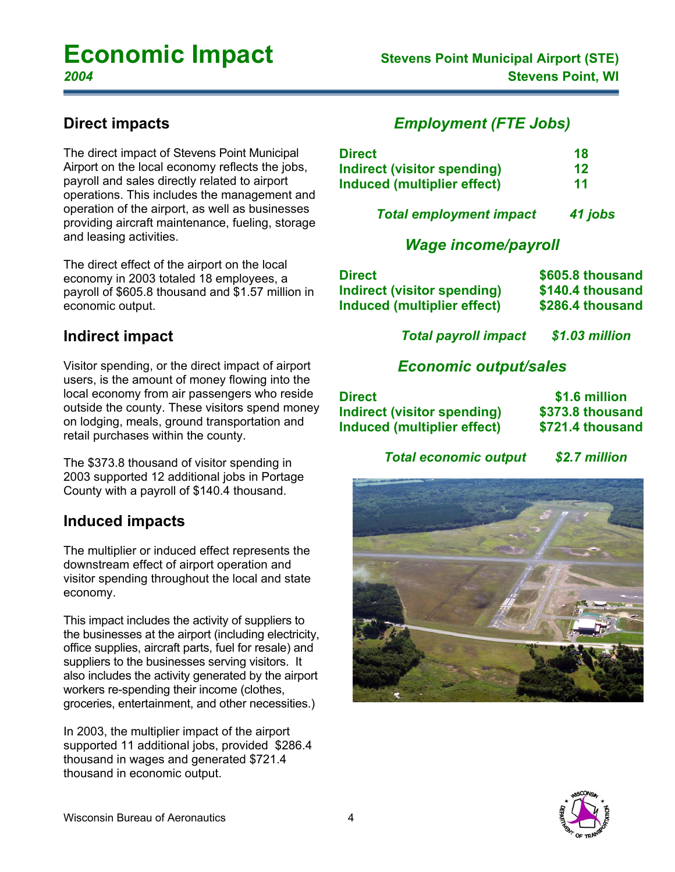#### **Direct impacts**

The direct impact of Stevens Point Municipal Airport on the local economy reflects the jobs, payroll and sales directly related to airport operations. This includes the management and operation of the airport, as well as businesses providing aircraft maintenance, fueling, storage and leasing activities.

The direct effect of the airport on the local economy in 2003 totaled 18 employees, a payroll of \$605.8 thousand and \$1.57 million in economic output.

#### **Indirect impact**

Visitor spending, or the direct impact of airport users, is the amount of money flowing into the local economy from air passengers who reside outside the county. These visitors spend money on lodging, meals, ground transportation and retail purchases within the county.

The \$373.8 thousand of visitor spending in 2003 supported 12 additional jobs in Portage County with a payroll of \$140.4 thousand.

#### **Induced impacts**

The multiplier or induced effect represents the downstream effect of airport operation and visitor spending throughout the local and state economy.

This impact includes the activity of suppliers to the businesses at the airport (including electricity, office supplies, aircraft parts, fuel for resale) and suppliers to the businesses serving visitors. It also includes the activity generated by the airport workers re-spending their income (clothes, groceries, entertainment, and other necessities.)

In 2003, the multiplier impact of the airport supported 11 additional jobs, provided \$286.4 thousand in wages and generated \$721.4 thousand in economic output.

#### *Employment (FTE Jobs)*

| <b>Direct</b>               | 18 |
|-----------------------------|----|
| Indirect (visitor spending) | 12 |
| Induced (multiplier effect) | 11 |

 *Total employment impact 41 jobs*

#### *Wage income/payroll*

| Direct                      | \$605.8 thousand |
|-----------------------------|------------------|
| Indirect (visitor spending) | \$140.4 thousand |
| Induced (multiplier effect) | \$286.4 thousand |

*Total payroll impact \$1.03 million* 

#### *Economic output/sales*

| <b>Direct</b>                      | \$1.6 million    |
|------------------------------------|------------------|
| <b>Indirect (visitor spending)</b> | \$373.8 thousand |
| Induced (multiplier effect)        | \$721.4 thousand |

*Total economic output \$2.7 million*